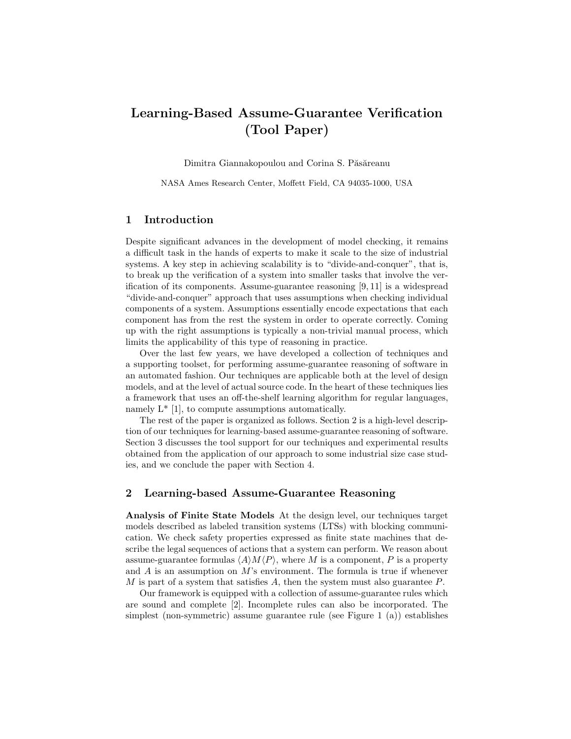# **Learning-Based Assume-Guarantee Verification (Tool Paper)**

Dimitra Giannakopoulou and Corina S. Păsăreanu

NASA Ames Research Center, Moffett Field, CA 94035-1000, USA

## **1 Introduction**

Despite significant advances in the development of model checking, it remains a difficult task in the hands of experts to make it scale to the size of industrial systems. A key step in achieving scalability is to "divide-and-conquer", that is, to break up the verification of a system into smaller tasks that involve the verification of its components. Assume-guarantee reasoning [9, 11] is a widespread "divide-and-conquer" approach that uses assumptions when checking individual components of a system. Assumptions essentially encode expectations that each component has from the rest the system in order to operate correctly. Coming up with the right assumptions is typically a non-trivial manual process, which limits the applicability of this type of reasoning in practice.

Over the last few years, we have developed a collection of techniques and a supporting toolset, for performing assume-guarantee reasoning of software in an automated fashion. Our techniques are applicable both at the level of design models, and at the level of actual source code. In the heart of these techniques lies a framework that uses an off-the-shelf learning algorithm for regular languages, namely  $L^*$  [1], to compute assumptions automatically.

The rest of the paper is organized as follows. Section 2 is a high-level description of our techniques for learning-based assume-guarantee reasoning of software. Section 3 discusses the tool support for our techniques and experimental results obtained from the application of our approach to some industrial size case studies, and we conclude the paper with Section 4.

## **2 Learning-based Assume-Guarantee Reasoning**

**Analysis of Finite State Models** At the design level, our techniques target models described as labeled transition systems (LTSs) with blocking communication. We check safety properties expressed as finite state machines that describe the legal sequences of actions that a system can perform. We reason about assume-guarantee formulas  $\langle A \rangle M \langle P \rangle$ , where *M* is a component, *P* is a property and *A* is an assumption on *M*'s environment. The formula is true if whenever *M* is part of a system that satisfies *A*, then the system must also guarantee *P*.

Our framework is equipped with a collection of assume-guarantee rules which are sound and complete [2]. Incomplete rules can also be incorporated. The simplest (non-symmetric) assume guarantee rule (see Figure 1 (a)) establishes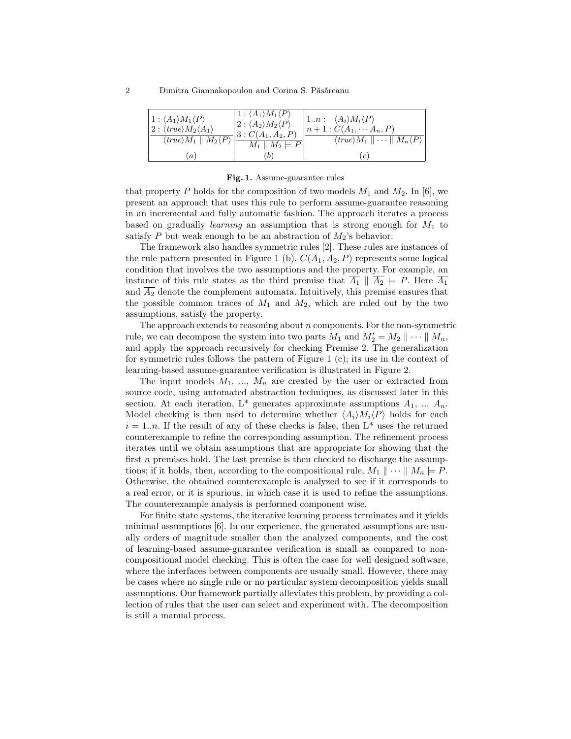| $1: \langle A_1 \rangle M_1 \langle P \rangle$<br>$2:\langle \mathit{true} \rangle M_2 \langle A_1 \rangle$<br>$\langle true \rangle M_1 \parallel M_2 \langle P \rangle$ | $1: \langle A_1 \rangle M_1 \langle P \rangle$<br>$2:\langle A_2\rangle M_2\langle P\rangle$<br>$3: C(A_1, A_2, P)$<br>$M_1 \parallel M_2 \models P$ | $1n$ : $\langle A_i \rangle M_i \langle P \rangle$<br>$n+1:C(A_1,\cdots A_n,P)$<br>$\langle \text{true} \rangle M_1 \parallel \cdots \parallel M_n \langle P \rangle$ |
|---------------------------------------------------------------------------------------------------------------------------------------------------------------------------|------------------------------------------------------------------------------------------------------------------------------------------------------|-----------------------------------------------------------------------------------------------------------------------------------------------------------------------|
| $\alpha$                                                                                                                                                                  | b                                                                                                                                                    | c                                                                                                                                                                     |

#### **Fig. 1.** Assume-guarantee rules

that property *P* holds for the composition of two models  $M_1$  and  $M_2$ . In [6], we present an approach that uses this rule to perform assume-guarantee reasoning in an incremental and fully automatic fashion. The approach iterates a process based on gradually *learning* an assumption that is strong enough for *<sup>M</sup>*<sup>1</sup> to satisfy  $P$  but weak enough to be an abstraction of  $M_2$ 's behavior.

The framework also handles symmetric rules [2]. These rules are instances of the rule pattern presented in Figure 1 (b).  $C(A_1, A_2, P)$  represents some logical condition that involves the two assumptions and the property. For example, an instance of this rule states as the third premise that  $A_1 \parallel A_2 \models P$ . Here  $A_1$ and  $\overline{A_2}$  denote the complement automata. Intuitively, this premise ensures that the possible common traces of  $M_1$  and  $M_2$ , which are ruled out by the two assumptions, satisfy the property.

The approach extends to reasoning about *n* components. For the non-symmetric rule, we can decompose the system into two parts  $M_1$  and  $M'_2 = M_2 \parallel \cdots \parallel M_n$ , and apply the approach recursively for checking Premise 2. The generalization for symmetric rules follows the pattern of Figure 1 (c); its use in the context of learning-based assume-guarantee verification is illustrated in Figure 2.

The input models  $M_1$ , ...,  $M_n$  are created by the user or extracted from source code, using automated abstraction techniques, as discussed later in this section. At each iteration,  $L^*$  generates approximate assumptions  $A_1, \ldots, A_n$ . Model checking is then used to determine whether  $\langle A_i \rangle M_i \langle P \rangle$  holds for each  $i = 1..n$ . If the result of any of these checks is false, then  $L^*$  uses the returned counterexample to refine the corresponding assumption. The refinement process iterates until we obtain assumptions that are appropriate for showing that the first *n* premises hold. The last premise is then checked to discharge the assumptions; if it holds, then, according to the compositional rule,  $M_1 \parallel \cdots \parallel M_n \models P$ . Otherwise, the obtained counterexample is analyzed to see if it corresponds to a real error, or it is spurious, in which case it is used to refine the assumptions. The counterexample analysis is performed component wise.

For finite state systems, the iterative learning process terminates and it yields minimal assumptions [6]. In our experience, the generated assumptions are usually orders of magnitude smaller than the analyzed components, and the cost of learning-based assume-guarantee verification is small as compared to noncompositional model checking. This is often the case for well designed software, where the interfaces between components are usually small. However, there may be cases where no single rule or no particular system decomposition yields small assumptions. Our framework partially alleviates this problem, by providing a collection of rules that the user can select and experiment with. The decomposition is still a manual process.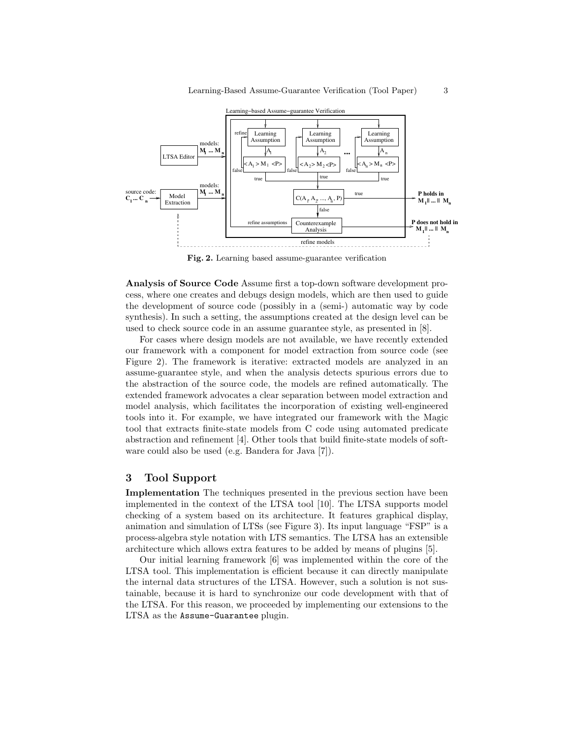

**Fig. 2.** Learning based assume-guarantee verification

**Analysis of Source Code** Assume first a top-down software development process, where one creates and debugs design models, which are then used to guide the development of source code (possibly in a (semi-) automatic way by code synthesis). In such a setting, the assumptions created at the design level can be used to check source code in an assume guarantee style, as presented in [8].

For cases where design models are not available, we have recently extended our framework with a component for model extraction from source code (see Figure 2). The framework is iterative: extracted models are analyzed in an assume-guarantee style, and when the analysis detects spurious errors due to the abstraction of the source code, the models are refined automatically. The extended framework advocates a clear separation between model extraction and model analysis, which facilitates the incorporation of existing well-engineered tools into it. For example, we have integrated our framework with the Magic tool that extracts finite-state models from C code using automated predicate abstraction and refinement [4]. Other tools that build finite-state models of software could also be used (e.g. Bandera for Java [7]).

### **3 Tool Support**

**Implementation** The techniques presented in the previous section have been implemented in the context of the LTSA tool [10]. The LTSA supports model checking of a system based on its architecture. It features graphical display, animation and simulation of LTSs (see Figure 3). Its input language "FSP" is a process-algebra style notation with LTS semantics. The LTSA has an extensible architecture which allows extra features to be added bymeans of plugins [5].

Our initial learning framework [6] was implemented within the core of the LTSA tool. This implementation is efficient because it can directlymanipulate the internal data structures of the LTSA. However, such a solution is not sustainable, because it is hard to synchronize our code development with that of the LTSA. For this reason, we proceeded by implementing our extensions to the LTSA as the Assume-Guarantee plugin.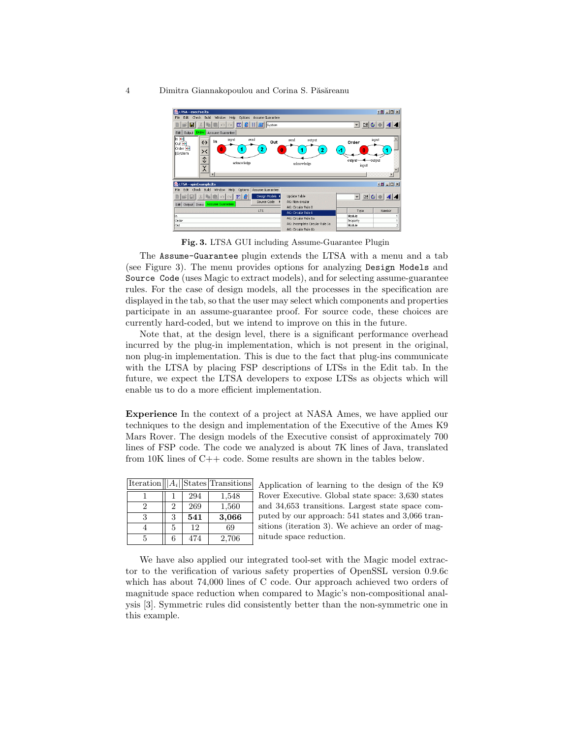#### 4 Dimitra Giannakopoulou and Corina S. Păsăreanu



**Fig. 3.** LTSA GUI including Assume-Guarantee Plugin

The Assume-Guarantee plugin extends the LTSA with a menu and a tab (see Figure 3). The menu provides options for analyzing Design Models and Source Code (uses Magic to extract models), and for selecting assume-guarantee rules. For the case of design models, all the processes in the specification are displayed in the tab, so that the user may select which components and properties participate in an assume-guarantee proof. For source code, these choices are currently hard-coded, but we intend to improve on this in the future.

Note that, at the design level, there is a significant performance overhead incurred by the plug-in implementation, which is not present in the original, non plug-in implementation. This is due to the fact that plug-ins communicate with the LTSA by placing FSP descriptions of LTSs in the Edit tab. In the future, we expect the LTSA developers to expose LTSs as objects which will enable us to do a more efficient implementation.

**Experience** In the context of a project at NASA Ames, we have applied our techniques to the design and implementation of the Executive of the Ames K9 Mars Rover. The design models of the Executive consist of approximately 700 lines of FSP code. The code we analyzed is about 7K lines of Java, translated from 10K lines of C++ code. Some results are shown in the tables below.

| Iteration |                |     | $A_i$   States Transitions |
|-----------|----------------|-----|----------------------------|
|           |                | 294 | 1,548                      |
|           | $\overline{2}$ | 269 | 1,560                      |
| 3         | 3              | 541 | 3,066                      |
|           | 5              | 12  | 69                         |
| 5         | 6              | 474 | 2,706                      |

Application of learning to the design of the K9 Rover Executive. Global state space: 3,630 states and 34,653 transitions. Largest state space computed by our approach: 541 states and 3,066 transitions (iteration 3). We achieve an order of magnitude space reduction.

We have also applied our integrated tool-set with the Magic model extractor to the verification of various safety properties of OpenSSL version 0.9.6c which has about 74,000 lines of C code. Our approach achieved two orders of magnitude space reduction when compared to Magic's non-compositional analysis [3]. Symmetric rules did consistently better than the non-symmetric one in this example.